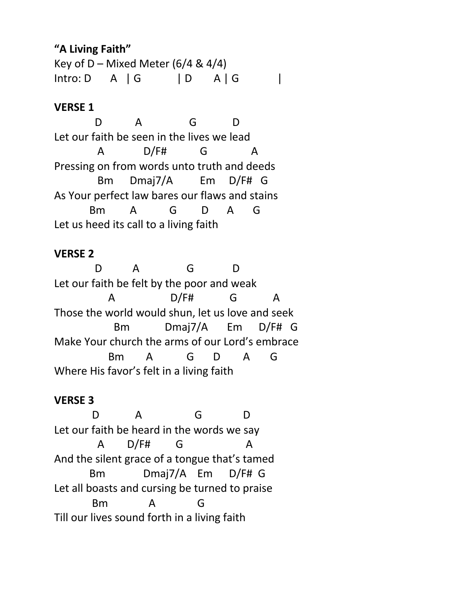## **"A Living Faith"**

Key of D – Mixed Meter  $(6/4 \& 4/4)$  $Intro: D \quad A \mid G \quad | \quad D \quad A \mid G \quad |$ 

# **VERSE 1**

 D A G D Let our faith be seen in the lives we lead A D/F# G A Pressing on from words unto truth and deeds Bm Dmaj7/A Em D/F# G As Your perfect law bares our flaws and stains Bm A G D A G Let us heed its call to a living faith

### **VERSE 2**

D A G D Let our faith be felt by the poor and weak A D/F# G A Those the world would shun, let us love and seek Bm Dmaj7/A Em D/F# G Make Your church the arms of our Lord's embrace Bm A G D A G Where His favor's felt in a living faith

### **VERSE 3**

 D A G D Let our faith be heard in the words we say A D/F# G A And the silent grace of a tongue that's tamed Bm Dmaj7/A Em D/F# G Let all boasts and cursing be turned to praise Bm A G Till our lives sound forth in a living faith